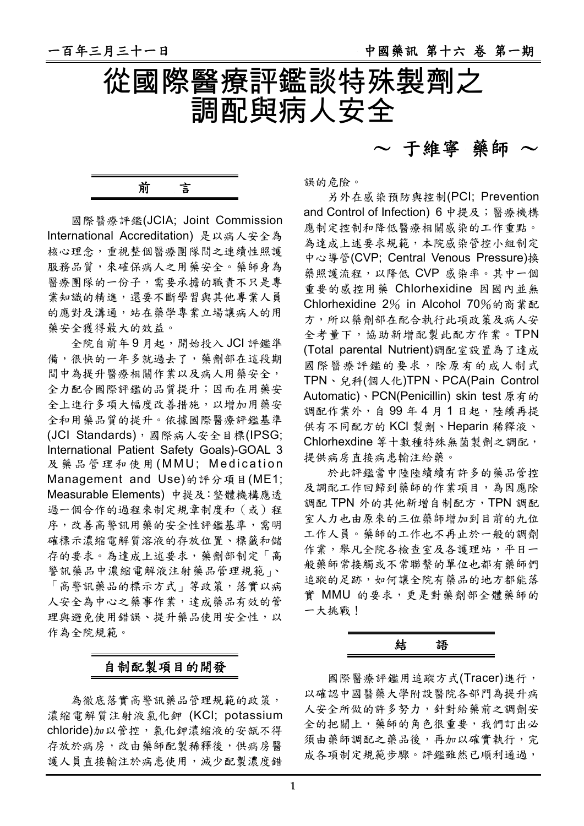$\sim$  干維寧 藥師  $\sim$ 



前言

國際醫療評鑑(JCIA; Joint Commission International Accreditation) 是以病人安全為 核心理念,重視整個醫療團隊間之連續性照護 服務品質,來確保病人之用藥安全。藥師身為 醫療團隊的一份子,需要承擔的職責不只是專 業知識的精進,還要不斷學習與其他專業人員 的應對及溝通,站在藥學專業立場讓病人的用 藥安全獲得最大的效益。

全院自前年 9 月起,開始投入 JCI 評鑑準 備,很快的一年多就過去了,藥劑部在這段期 間中為提升醫療相關作業以及病人用藥安全, 全力配合國際評鑑的品質提升;因而在用藥安 全上進行多項大幅度改善措施,以增加用藥安 全和用藥品質的提升。依據國際醫療評鑑基準 (JCI Standards),國際病人安全目標(IPSG; International Patient Safety Goals)-GOAL 3 及藥品管理和使用(MMU; Medication Management and Use)的評分項目(ME1; Measurable Elements) 中提及:整體機構應透 過一個合作的過程來制定規章制度和(或)程 序,改善高警訊用藥的安全性評鑑基準,需明 確標示濃縮電解質溶液的存放位置、標籤和儲 存的要求。為達成上述要求,藥劑部制定「高 警訊藥品中濃縮電解液注射藥品管理規範」、 「高警訊藥品的標示方式」等政策,落實以病 人安全為中心之藥事作業,達成藥品有效的管 理與避免使用錯誤、提升藥品使用安全性,以 作為全院規範。

# 自制配製項目的開發

為徹底落實高警訊藥品管理規範的政策, 濃縮電解質注射液氯化鉀 (KCl; potassium chloride)加以管控, 氯化鉀濃縮液的安瓿不得 存放於病房,改由藥師配製稀釋後,供病房醫 護人員直接輸注於病患使用,減少配製濃度錯

誤的危險。

另外在感染預防與控制(PCI; Prevention and Control of Infection) 6 中提及;醫療機構 應制定控制和降低醫療相關感染的工作重點。 為達成上述要求規範,本院感染管控小組制定 中心導管(CVP; Central Venous Pressure)換 藥照護流程,以降低 CVP 感染率。其中一個 重要的感控用藥 Chlorhexidine 因國內並無 Chlorhexidine 2% in Alcohol 70%的商業配 方,所以藥劑部在配合執行此項政策及病人安 全考量下,協助新增配製此配方作業。TPN (Total parental Nutrient)調配室設置為了達成 國際醫療評鑑的要求,除原有的成人制式 TPN、兒科(個人化)TPN、PCA(Pain Control Automatic)、PCN(Penicillin) skin test 原有的 調配作業外,自99年4月1日起,陸續再提 供有不同配方的 KCl 製劑、Heparin 稀釋液、 Chlorhexdine 等十數種特殊無菌製劑之調配, 提供病房直接病患輸注給藥。

於此評鑑當中陸陸續續有許多的藥品管控 及調配工作回歸到藥師的作業項目,為因應除 調配 TPN 外的其他新增自制配方,TPN 調配 室人力也由原來的三位藥師增加到目前的九位 工作人員。藥師的工作也不再止於一般的調劑 作業,舉凡全院各檢查室及各護理站,平日一 般藥師常接觸或不常聯繫的單位也都有藥師們 追蹤的足跡,如何讓全院有藥品的地方都能落 實 MMU 的要求,更是對藥劑部全體藥師的 一大挑戰!

結語

國際醫療評鑑用追蹤方式(Tracer)進行, 以確認中國醫藥大學附設醫院各部門為提升病 人安全所做的許多努力,針對給藥前之調劑安 全的把關上,藥師的角色很重要,我們訂出必 須由藥師調配之藥品後,再加以確實執行,完 成各項制定規範步驟。評鑑雖然已順利通過,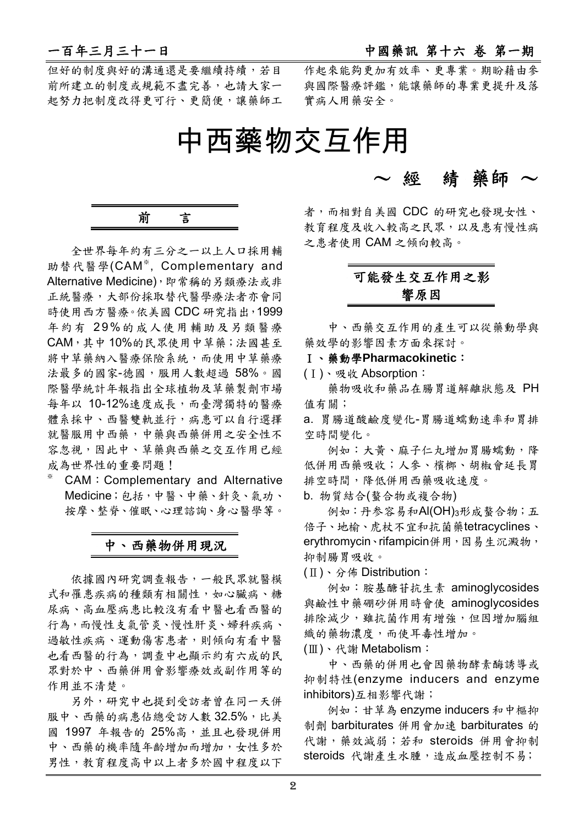但好的制度與好的溝通還是要繼續持續,若目 前所建立的制度或規範不盡完善,也請大家一 起努力把制度改得更可行、更簡便,讓藥師工 作起來能夠更加有效率、更專業。期盼藉由參 與國際醫療評鑑,能讓藥師的專業更提升及落 實病人用藥安全。

# 中西藥物交互作用

前言

全世界每年約有三分之一以上人口採用輔 助替代醫學(CAM※ , Complementary and Alternative Medicine),即常稱的另類療法或非 正統醫療,大部份採取替代醫學療法者亦會同 時使用西方醫療。依美國 CDC 研究指出, 1999 年約有 29%的成人使用輔助及另類醫療 CAM,其中 10%的民眾使用中草藥;法國甚至 將中草藥納入醫療保險系統,而使用中草藥療 法最多的國家-德國,服用人數超過 58%。國 際醫學統計年報指出全球植物及草藥製劑市場 每年以 10-12%速度成長,而臺灣獨特的醫療 體系採中、西醫雙軌並行,病患可以自行選擇 就醫服用中西藥,中藥與西藥併用之安全性不 容忽視,因此中、草藥與西藥之交互作用已經 成為世界性的重要問題!

CAM:Complementary and Alternative Medicine;包括,中醫、中藥、針灸、氣功、 按摩、整脊、催眠、心理諮詢、身心醫學等。

※

# 中、西藥物併用現況

依據國內研究調查報告,一般民眾就醫模 式和罹患疾病的種類有相關性,如心臟病、糖 尿病、高血壓病患比較沒有看中醫也看西醫的 行為,而慢性支氣管炎、慢性肝炎、婦科疾病、 過敏性疾病、運動傷害患者,則倾向有看中醫 也看西醫的行為,調查中也顯示約有六成的民 眾對於中、西藥併用會影響療效或副作用等的 作用並不清楚。

另外,研究中也提到受訪者曾在同一天併 服中、西藥的病患佔總受訪人數 32.5%,比美 國 1997 年報告的 25%高,並且也發現併用 中、西藥的機率隨年齡增加而增加,女性多於 男性,教育程度高中以上者多於國中程度以下

~ 經綪 藥師 ~

者,而相對自美國 CDC 的研究也發現女性、 教育程度及收入較高之民眾,以及患有慢性病 之患者使用 CAM 之倾向較高。

# 可能發生交互作用之影 響原因

中、西藥交互作用的產生可以從藥動學與 藥效學的影響因素方面來探討。

Ⅰ、藥動學**Pharmacokinetic**:

(Ⅰ)、吸收 Absorption:

藥物吸收和藥品在腸胃道解離狀態及 PH 值有關;

a. 胃腸道酸鹼度變化-胃腸道蠕動速率和胃排 空時間變化。

例如:大黃、麻子仁丸增加胃腸蠕動,降 低併用西藥吸收;人參、檳榔、胡椒會延長胃 排空時間,降低併用西藥吸收速度。

b. 物質結合(螯合物或複合物)

例如:丹参容易和Al(OH)3形成螯合物;五 倍子、地榆、虎杖不宜和抗菌藥tetracyclines、 erythromycin、rifampicin併用,因易生沉澱物, 抑制腸胃吸收。

(Ⅱ)、分佈 Distribution:

例如:胺基醣苷抗生素 aminoglycosides 與鹼性中藥硼砂併用時會使 aminoglycosides 排除減少,雖抗菌作用有增強,但因增加腦組 織的藥物濃度,而使耳毒性增加。

(Ⅲ)、代謝 Metabolism:

中、西藥的併用也會因藥物酵素酶誘導或 抑制特性(enzyme inducers and enzyme inhibitors)互相影響代謝;

例如:甘草為 enzyme inducers 和中樞抑 制劑 barbiturates 併用會加速 barbiturates 的 代謝,藥效減弱;若和 steroids 併用會抑制 steroids 代謝產生水腫,造成血壓控制不易;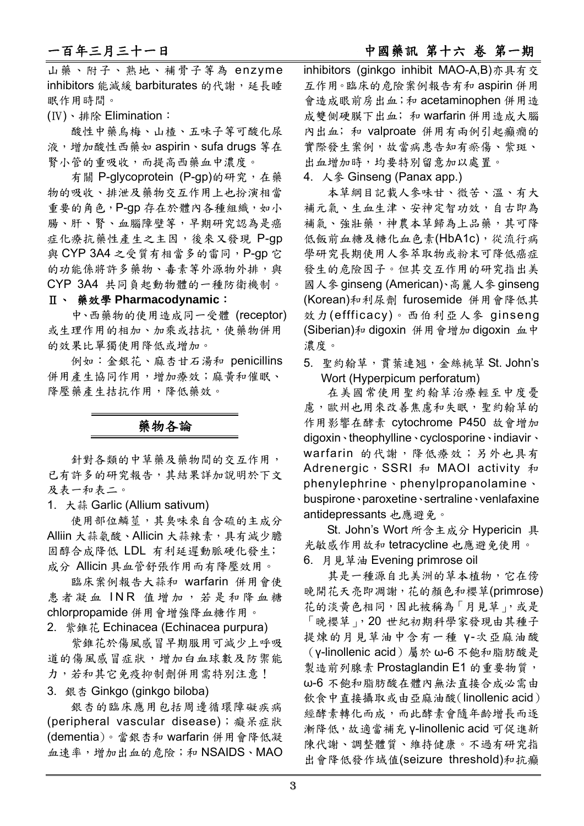# 一百年三月三十一日 有一月 1000 万万 1000 万万 中國藥訊 第十六 卷 第一期

山藥、附子、熟地、補骨子等為 enzyme inhibitors 能減緩 barbiturates 的代謝,延長睡 眠作用時間。

(Ⅳ)、排除 Elimination:

酸性中藥烏梅、山楂、五味子等可酸化尿 液,增加酸性西藥如 aspirin、sufa drugs 等在 腎小管的重吸收,而提高西藥血中濃度。

有關 P-glycoprotein (P-gp)的研究,在藥 物的吸收、排泄及藥物交互作用上也扮演相當 重要的角色,P-gp 存在於體內各種組織,如小 腸、肝、腎、血腦障壁等,早期研究認為是癌 症化療抗藥性產生之主因,後來又發現 P-gp 與 CYP 3A4 之受質有相當多的雷同, P-gp 它 的功能係將許多藥物、毒素等外源物外排,與 CYP 3A4 共同負起動物體的一種防衛機制。

### Ⅱ、 藥效學 **Pharmacodynamic**:

中、西藥物的使用造成同一受體 (receptor) 或生理作用的相加、加乘或拮抗,使藥物併用 的效果比單獨使用降低或增加。

例如:金銀花、麻杏甘石湯和 penicillins 併用產生協同作用,增加療效;麻黃和催眠、 降壓藥產生拮抗作用,降低藥效。

# 藥物各論

針對各類的中草藥及藥物間的交互作用, 已有許多的研究報告,其結果詳加說明於下文 及表一和表二。

1. 大蒜 Garlic (Allium sativum)

使用部位鱗莖,其臭味來自含硫的主成分 Alliin 大蒜氨酸、Allicin 大蒜辣素,具有減少膽 固醇合成降低 LDL 有利延遲動脈硬化發生﹔ 成分 Allicin 具血管舒張作用而有降壓效用。

臨床案例報告大蒜和 warfarin 併用會使 患者凝血 INR 值增加,若是和降血糖 chlorpropamide 併用會增強降血糖作用。

2. 紫錐花 Echinacea (Echinacea purpura)

紫錐花於傷風感冒早期服用可減少上呼吸 道的傷風感冒症狀,增加白血球數及防禦能 力,若和其它免疫抑制劑併用需特別注意!

3. 銀杏 Ginkgo (ginkgo biloba)

銀杏的臨床應用包括周邊循環障礙疾病 (peripheral vascular disease); 癡呆症狀 (dementia)。當銀杏和 warfarin 併用會降低凝 血速率,增加出血的危險;和 NSAIDS、MAO inhibitors (ginkgo inhibit MAO-A,B)亦具有交 互作用。臨床的危險案例報告有和 aspirin 併用 會造成眼前房出血;和 acetaminophen 併用造 成雙側硬膜下出血; 和 warfarin 併用造成大腦 內出血;和 valproate 併用有兩例引起癲癇的 實際發生案例,故當病患告知有瘀傷、紫斑、 出血增加時,均要特別留意加以處置。

4. 人參 Ginseng (Panax app.)

本草綱目記載人參味甘、微苦、溫、有大 補元氣、生血生津、安神定智功效,自古即為 補氣、強壯藥,神農本草歸為上品藥,其可降 低飯前血糖及糖化血色素(HbA1c),從流行病 學研究長期使用人參萃取物或粉末可降低癌症 發生的危險因子。但其交互作用的研究指出美 國人參 ginseng (American)、高麗人參 ginseng (Korean)和利尿劑 furosemide 併用會降低其 效力(effficacy)。西伯利亞人參 ginseng (Siberian)和 digoxin 併用會增加 digoxin 血中 濃度。

5. 聖約翰草,貫葉連翘,金絲桃草 St. John's Wort (Hyperpicum perforatum)

在美國常使用聖約翰草治療輕至中度憂 慮,歐州也用來改善焦慮和失眠,聖約翰草的 作用影響在酵素 cytochrome P450 故會增加 digoxin、theophylline、cyclosporine、indiavir、 warfarin 的代謝,降低療效;另外也具有 Adrenergic, SSRI 和 MAOI activity 和 phenylephrine、phenylpropanolamine、 buspirone、paroxetine、sertraline、venlafaxine antidepressants 也應避免。

St. John's Wort 所含主成分 Hypericin 具 光敏感作用故和 tetracycline 也應避免使用。 6. 月見草油 Evening primrose oil

其是一種源自北美洲的草本植物,它在傍 晚開花天亮即凋謝,花的顏色和櫻草(primrose) 花的淡黃色相同,因此被稱為「月見草」,或是 「晚櫻草」,20 世紀初期科學家發現由其種子 提煉的月見草油中含有一種 γ-次亞麻油酸 (γ-linollenic acid)屬於 ω-6 不飽和脂肪酸是 製造前列腺素 Prostaglandin E1 的重要物質, ω-6 不飽和脂肪酸在體內無法直接合成必需由 飲食中直接攝取或由亞麻油酸(linollenic acid) 經酵素轉化而成,而此酵素會隨年齡增長而逐 漸降低,故適當補充 γ-linollenic acid 可促進新 陳代謝、調整體質、維持健康。不過有研究指 出會降低發作域值(seizure threshold)和抗癲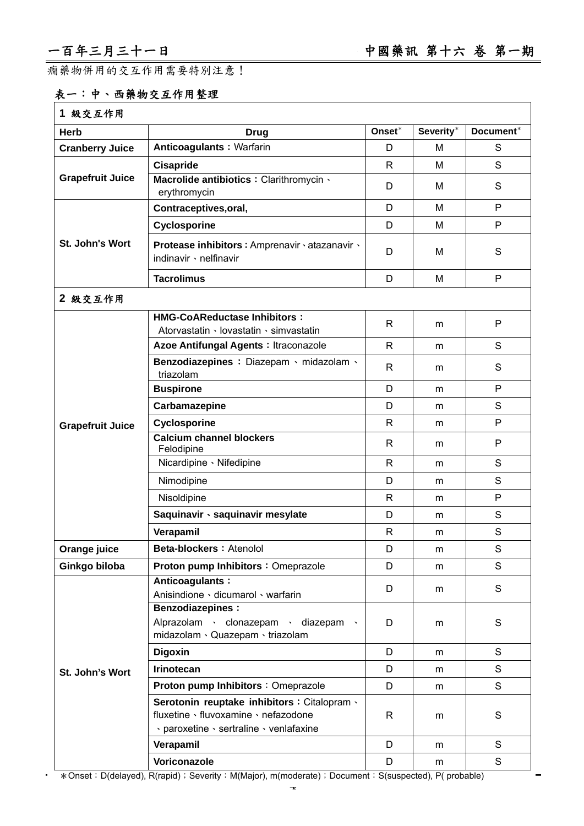$\equiv$ 

癇藥物併用的交互作用需要特別注意!

# 表一:中、西藥物交互作用整理

| 1 級交互作用                 |                                                                                                                                 |              |           |             |
|-------------------------|---------------------------------------------------------------------------------------------------------------------------------|--------------|-----------|-------------|
| <b>Herb</b>             | <b>Drug</b>                                                                                                                     | Onset*       | Severity* | Document*   |
| <b>Cranberry Juice</b>  | Anticoagulants: Warfarin                                                                                                        | D            | м         | S           |
|                         | Cisapride                                                                                                                       | R            | м         | S           |
| <b>Grapefruit Juice</b> | Macrolide antibiotics : Clarithromycin \<br>erythromycin                                                                        | D            | м         | S           |
|                         | Contraceptives, oral,                                                                                                           | D            | M         | P           |
|                         | Cyclosporine                                                                                                                    | D            | м         | P           |
| St. John's Wort         | Protease inhibitors : Amprenavir · atazanavir ·<br>indinavir · nelfinavir                                                       | D            | м         | S           |
|                         | <b>Tacrolimus</b>                                                                                                               | D            | м         | P           |
| 2 級交互作用                 |                                                                                                                                 |              |           |             |
|                         | <b>HMG-CoAReductase Inhibitors:</b><br>Atorvastatin · lovastatin · simvastatin                                                  | R            | m         | P           |
|                         | Azoe Antifungal Agents : Itraconazole                                                                                           | R            | m         | S           |
|                         | Benzodiazepines : Diazepam · midazolam ·<br>triazolam                                                                           | R            | m         | S           |
|                         | <b>Buspirone</b>                                                                                                                | D            | m         | P           |
|                         | Carbamazepine                                                                                                                   | D            | m         | S           |
| <b>Grapefruit Juice</b> | <b>Cyclosporine</b>                                                                                                             | R            | m         | P           |
|                         | <b>Calcium channel blockers</b><br>Felodipine                                                                                   | $\mathsf{R}$ | m         | P           |
|                         | Nicardipine · Nifedipine                                                                                                        | R            | m         | S           |
|                         | Nimodipine                                                                                                                      | D            | m         | S           |
|                         | Nisoldipine                                                                                                                     | R            | m         | P           |
|                         | Saquinavir · saquinavir mesylate                                                                                                | D            | m         | S           |
|                         | Verapamil                                                                                                                       | R            | m         | S           |
| Orange juice            | Beta-blockers: Atenolol                                                                                                         | D            | m         | S           |
| Ginkgo biloba           | Proton pump Inhibitors: Omeprazole                                                                                              | D            | m         | S           |
|                         | Anticoagulants:<br>Anisindione · dicumarol · warfarin                                                                           | D            | m         | $\mathbf S$ |
|                         | <b>Benzodiazepines:</b><br>Alprazolam · clonazepam · diazepam<br>midazolam · Quazepam · triazolam                               | D            | m         | S           |
|                         | <b>Digoxin</b>                                                                                                                  | D            | m         | S           |
| St. John's Wort         | Irinotecan                                                                                                                      | D            | m         | S           |
|                         | Proton pump Inhibitors : Omeprazole                                                                                             | D            | m         | S           |
|                         | Serotonin reuptake inhibitors : Citalopram ·<br>fluxetine · fluvoxamine · nefazodone<br>· paroxetine · sertraline · venlafaxine | R            | m         | S           |
|                         | Verapamil                                                                                                                       | D            | m         | S           |
|                         | Voriconazole                                                                                                                    | D            | m         | S           |

\* > \* Onset: D(delayed), R(rapid); Severity: M(Major), m(moderate); Document: S(suspected), P( probable)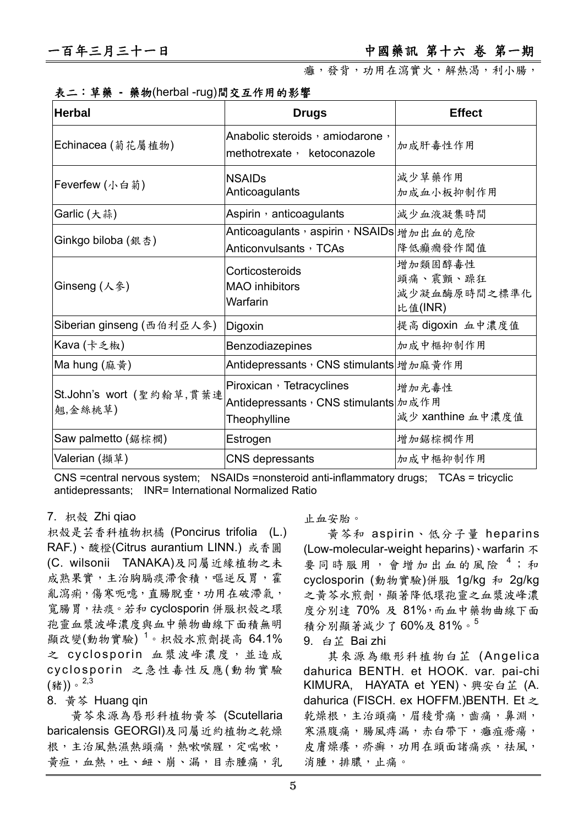癰,發背,功用在瀉實火,解熱渴,利小腸,

|  |  |  | 表二:草藥 - 藥物(herbal -rug)間交互作用的影響 |  |  |
|--|--|--|---------------------------------|--|--|
|  |  |  |                                 |  |  |

| <b>Herbal</b>                       | <b>Drugs</b>                                                                         | <b>Effect</b>                                  |
|-------------------------------------|--------------------------------------------------------------------------------------|------------------------------------------------|
| Echinacea (菊花屬植物)                   | Anabolic steroids, amiodarone,<br>methotrexate, ketoconazole                         | 加成肝毒性作用                                        |
| Feverfew (小白菊)                      | <b>NSAIDs</b><br>Anticoagulants                                                      | 減少草藥作用<br>加成血小板抑制作用                            |
| Garlic (大蒜)                         | Aspirin $\cdot$ anticoagulants                                                       | 減少血液凝集時間                                       |
| Ginkgo biloba (銀杏)                  | Anticoagulants,aspirin,NSAIDs $ \nmid_{\mathscr{U}}$ 加出血的危險<br>Anticonvulsants, TCAs | 降低癲癇發作閾值                                       |
| Ginseng (人参)                        | Corticosteroids<br><b>MAO</b> inhibitors<br>Warfarin                                 | 增加類固醇毒性<br>頭痛、震顫、躁狂<br>減少凝血酶原時間之標準化<br>比值(INR) |
| Siberian ginseng (西伯利亞人參)           | Digoxin                                                                              | 提高 digoxin 血中濃度值                               |
| Kava (卡乏椒)                          | Benzodiazepines                                                                      | 加成中樞抑制作用                                       |
| Ma hung (麻黄)                        | Antidepressants, CNS stimulants 增加麻黄作用                                               |                                                |
| St.John's wort (聖約翰草,貫葉連<br>翹,金絲桃草) | Piroxican, Tetracyclines<br>Antidepressants, CNS stimulants 加成作用<br>Theophylline     | 增加光毒性<br>減少 xanthine 血中濃度值                     |
| Saw palmetto (鋸棕櫚)                  | Estrogen                                                                             | 增加鋸棕櫚作用                                        |
| Valerian (擷草)                       | CNS depressants                                                                      | 加成中樞抑制作用                                       |

CNS =central nervous system; NSAIDs =nonsteroid anti-inflammatory drugs; TCAs = tricyclic antidepressants; INR= International Normalized Ratio

### 7. 枳殼 Zhi qiao

枳殼是芸香科植物枳橘 (Poncirus trifolia (L.) RAF.)、酸橙(Citrus aurantium LINN.) 或香圓 (C. wilsonii TANAKA)及同屬近緣植物之未 成熟果實,主治胸膈痰滯食積,嘔逆反胃,霍 亂瀉痢,傷寒呃噫,直腸脫垂,功用在破滯氣, 寬腸胃,祛痰。若和 cyclosporin 併服枳殼之環 孢靈血漿波峰濃度與血中藥物曲線下面積無明 顯改變(動物實驗)<sup>1</sup>。枳殼水煎劑提高 64.1% 之 cyclosporin 血漿波峰濃度,並造成 cyclosporin 之急性毒性反應(動物實驗  $($ 豬))。 $2,3$ 

### 8. 黃芩 Huang qin

黃芩來源為唇形科植物黃芩 (Scutellaria baricalensis GEORGI)及同屬近約植物之乾燥 根,主治風熱濕熱頭痛,熱嗽喉腥,定喘嗽, 黃疸,血熱,吐、衄、崩、漏,目赤腫痛,乳

### 止血安胎。

黃芩和 aspirin、低分子量 heparins (Low-molecular-weight heparins)、warfarin 不 要同時服用,會增加出血的風險<sup>4</sup>;和 cyclosporin (動物實驗)併服 1g/kg 和 2g/kg 之黃芩水煎劑,顯著降低環孢靈之血漿波峰濃 度分別達 70% 及 81%,而血中藥物曲線下面 積分別顯著減少了 60%及 81%。<sup>5</sup>

9. 白芷 Bai zhi

其來源為繖形科植物白芷 (Angelica dahurica BENTH. et HOOK. var. pai-chi KIMURA, HAYATA et YEN)、興安白芷 (A. dahurica (FISCH. ex HOFFM.)BENTH. Et 之 乾燥根,主治頭痛,眉稜骨痛,齒痛,鼻淵, 寒濕腹痛,腸風痔漏,赤白帶下,癰疽瘡瘍, 皮膚燥癢,疥癬,功用在頭面諸痛疾,祛風, 消腫,排膿,止痛。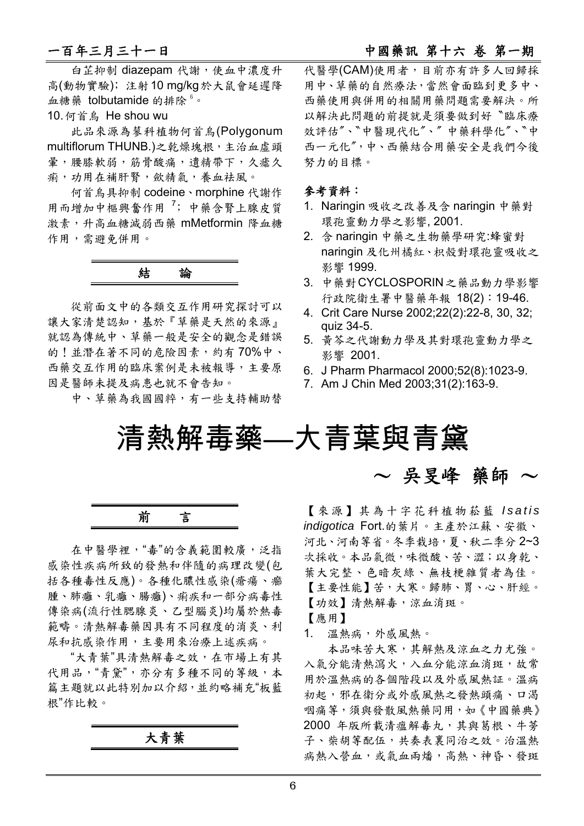# 一百年三月三十一日 中國藥訊 第十六 卷 第一期

白芷抑制 diazepam 代謝,使血中濃度升 高(動物實驗)﹔注射10 mg/kg於大鼠會延遲降 血糖藥 tolbutamide 的排除<sup>6</sup>。 10. 何首烏 He shou wu

此品來源為蓼科植物何首烏(Polygonum multiflorum THUNB.)之乾燥塊根,主治血虛頭 量,腰膝軟弱,筋骨酸痛,潰精帶下,久瘧久 痢,功用在補肝腎,歛精氣,養血袪風。

何首烏具抑制 codeine、morphine 代謝作 用而增加中樞興奮作用<sup>7</sup>; 中藥含腎上腺皮質 激素,升高血糖減弱西藥 mMetformin 降血糖 作用,需避免併用。

從前面文中的各類交互作用研究探討可以 讓大家清楚認知,基於『草藥是天然的來源』 就認為傳統中、草藥一般是安全的觀念是錯誤 的!並潛在著不同的危險因素,約有70%中、 西藥交互作用的臨床案例是未被報導,主要原 因是醫師未提及病患也就不會告知。

中、草藥為我國國粹,有一些支持輔助替

代醫學(CAM)使用者,目前亦有許多人回歸採 用中、草藥的自然療法,當然會面臨到更多中、 西藥使用與併用的相關用藥問題需要解決。所 以解決此問題的前提就是須要做到好〝臨床療 效評估"、"中醫現代化"、"中藥科學化"、"中 西一元化〞,中、西藥結合用藥安全是我們今後 努力的目標。

### 參考資料:

- 1. Naringin 吸收之改善及含 naringin 中藥對 環孢靈動力學之影響, 2001.
- 2. 含 naringin 中藥之生物藥學研究:蜂蜜對 naringin 及化州橘紅、枳殼對環孢靈吸收之 影響 1999.
- 3. 中藥對CYCLOSPORIN之藥品動力學影響 行政院衛生署中醫藥年報 18(2):19-46.
- 4. Crit Care Nurse 2002;22(2):22-8, 30, 32; quiz 34-5.
- 5. 黃芩之代謝動力學及其對環孢靈動力學之 影響 2001.
- 6. J Pharm Pharmacol 2000;52(8):1023-9.
- 7. Am J Chin Med 2003;31(2):163-9.

清熱解毒藥—大青葉與青黛

前言

在中醫學裡,"毒"的含義範圍較廣,泛指 感染性疾病所致的發熱和伴隨的病理改變(包 括各種毒性反應)。各種化膿性感染(瘡瘍、癤 腫、肺癰、乳癰、腸癰)、痢疾和一部分病毒性 傳染病(流行性腮腺炎、乙型腦炎)均屬於熱毒 範疇。清熱解毒藥因具有不同程度的消炎、利 尿和抗感染作用,主要用來治療上述疾病。

"大青葉"具清熱解毒之效,在市場上有其 代用品,"青黛",亦分有多種不同的等級,本 篇主題就以此特別加以介紹,並約略補充"板藍 根"作比較。

大青葉

 $\sim$  吳旻峰 藥師  $\sim$ 

【來源】其為十字花科植物菘藍 Isatis *indigotica* Fort.的葉片。主產於江蘇、安徽、 河北、河南等省。冬季栽培,夏、秋二季分 2~3 次採收。本品氣微,味微酸、苦、澀;以身乾、 葉大完整、色暗灰綠、無枝梗雜質者為佳。 【主要性能】苦,大寒。歸肺、胃、心、肝經。 【功效】清熱解毒,涼血消斑。

【應用】

1. 溫熱病,外感風熱。

本品味苦大寒,其解熱及涼血之力尤強。 入氣分能清熱瀉火,入血分能涼血消斑,故常 用於溫熱病的各個階段以及外感風熱証。溫病 初起,邪在衛分或外感風熱之發熱頭痛、口渴 咽痛等,須與發散風熱藥同用,如《中國藥典》 2000 年版所載清瘟解毒丸,其與葛根、牛蒡 子、柴胡等配伍,共奏表裏同治之效。治溫熱 病熱入營血,或氣血兩燔,高熱、神昏、發斑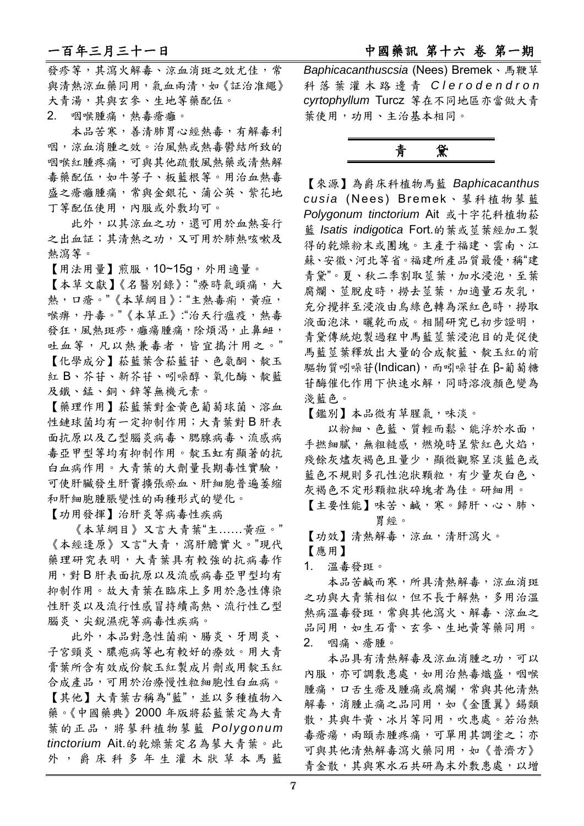發疹等,其瀉火解毒、涼血消斑之效尤佳,常 與清熱涼血藥同用,氣血兩清,如《証治准繩》 大青湯,其與玄參、生地等藥配伍。

2. 咽喉腫痛,熱毒瘡癰。

本品苦寒,善清肺胃心經熱毒,有解毒利 咽,涼血消腫之效。治風熱或熱毒鬱結所致的 咽喉紅腫疼痛,可與其他疏散風熱藥或清熱解 毒藥配伍,如牛蒡子、板藍根等。用治血熱毒 盛之瘡癰腫痛,常與金銀花、蒲公英、紫花地 丁等配伍使用,內服或外敷均可。

此外,以其涼血之功,還可用於血熱妄行 之出血証;其清熱之功,又可用於肺熱咳嗽及 熱瀉等。

【用法用量】煎服,10~15g,外用適量。

【本草文獻】《名醫別錄》:"療時氣頭痛,大 熱,口瘡。"《本草綱目》:"主熱毒痢,黃疸, 喉痹,丹毒。"《本草正》:"治天行瘟疫,熱毒 發狂,風熱斑疹,癰瘍腫痛,除煩渴,止鼻衄, 吐血等,凡以熱兼毒者,皆宜搗汁用之。" 【化學成分】菘藍葉含菘藍苷、色氨酮、靛玉 紅 B、芥苷、新芥苷、吲哚醇、氧化酶、靛藍 及鐵、錳、銅、鋅等無機元素。

【藥理作用】菘藍葉對金黃色葡萄球菌、溶血 性鏈球菌均有一定抑制作用;大青葉對 B 肝表 面抗原以及乙型腦炎病毒、腮腺病毒、流感病 毒亞甲型等均有抑制作用。靛玉虹有顯著的抗 白血病作用。大青葉的大劑量長期毒性實驗, 可使肝臟發生肝竇擴張瘀血、肝細胞普遍萎縮 和肝細胞腫脹變性的兩種形式的變化。

【功用發揮】治肝炎等病毒性疾病

《本草綱目》又言大青葉"主……黃疸。" 《本經逢原》又言"大青,瀉肝膽實火。"現代 藥理研究表明,大青葉具有較強的抗病毒作 用,對 B 肝表面抗原以及流感病毒亞甲型均有 抑制作用。故大青葉在臨床上多用於急性傳染 性肝炎以及流行性感冒持續高熱、流行性乙型 腦炎、尖銳濕疣等病毒性疾病。

此外,本品對急性菌痢、腸炎、牙周炎、 子宮頸炎、膿疱病等也有較好的療效。用大青 膏葉所含有效成份靛玉紅製成片劑或用靛玉紅 合成產品,可用於治療慢性粒細胞性白血病。 【其他】大青葉古稱為"藍",並以多種植物入 藥。《中國藥典》2000 年版將菘藍葉定為大青 葉的正品,將蓼科植物蓼藍 *Polygonum tinctorium* Ait.的乾燥葉定名為蓼大青葉。此 外,爵床科多年生灌木狀草本馬藍

一百年三月三十一日 有一月 1000 万万 1000 万万 中國藥訊 第十六 卷 第一期

*Baphicacanthuscsia* (Nees) Bremek、馬鞭草 科落葉灌木路邊青 *C l e r o d e n d r o n cyrtophyllum* Turcz 等在不同地區亦當做大青 葉使用,功用、主治基本相同。

# 青黛

【來源】為爵床科植物馬藍 *Baphicacanthus cusia* (Nees) Bremek、蓼科植物蓼藍 *Polygonum tinctorium* Ait 或十字花科植物菘 藍 *Isatis indigotica* Fort.的葉或莖葉經加工製 得的乾燥粉末或團塊。主產于福建、雲南、江 蘇、安徽、河北等省。福建所產品質最優,稱"建 青黛"。夏、秋二季割取莖葉,加水浸泡,至葉 腐爛、莖脫皮時,撈去莖葉,加適量石灰乳, 充分攪拌至浸液由烏綠色轉為深紅色時,撈取 液面泡沫,曬乾而成。相關研究已初步證明, 青黛傳統炮製過程中馬藍莖葉浸泡目的是促使 馬藍莖葉釋放出大量的合成靛藍、靛玉紅的前 驅物質吲哚苷(Indican), 而吲哚苷在 β-葡萄糖 苷酶催化作用下快速水解,同時溶液顏色變為 淺藍色。

【鑑別】本品微有草腥氣,味淡。

以粉細、色藍、質輕而鬆、能浮於水面, 手撚細膩,無粗糙感,燃燒時呈紫紅色火焰, 殘餘灰燼灰褐色且量少,顯微觀察呈淡藍色或 藍色不規則多孔性泡狀顆粒,有少量灰白色、 灰褐色不定形顆粒狀碎塊者為佳。研細用。 【主要性能】味苦、鹹,寒。歸肝、心、肺、

胃經。

【功效】清熱解毒,涼血,清肝瀉火。

- 【應用】
- 1. 溫毒發斑。

本品苦鹹而寒,所具清熱解毒,涼血消斑 之功與大青葉相似,但不長于解熱,多用治溫 熱病溫毒發斑,常與其他瀉火、解毒、涼血之 品同用,如生石膏、玄參、生地黃等藥同用。 2. 咽痛、瘡腫。

本品具有清熱解毒及涼血消腫之功,可以 內服,亦可調敷患處,如用治熱毒熾盛,咽喉 腫痛,口舌生瘡及腫痛或腐爛,常與其他清熱 解毒,消腫止痛之品同用,如《金匱翼》錫類 散,其與牛黃、冰片等同用,吹患處。若治熱 毒瘡瘍,兩頤赤腫疼痛,可單用其調塗之;亦 可與其他清熱解毒瀉火藥同用,如《普濟方》 青金散,其與寒水石共研為末外敷患處,以增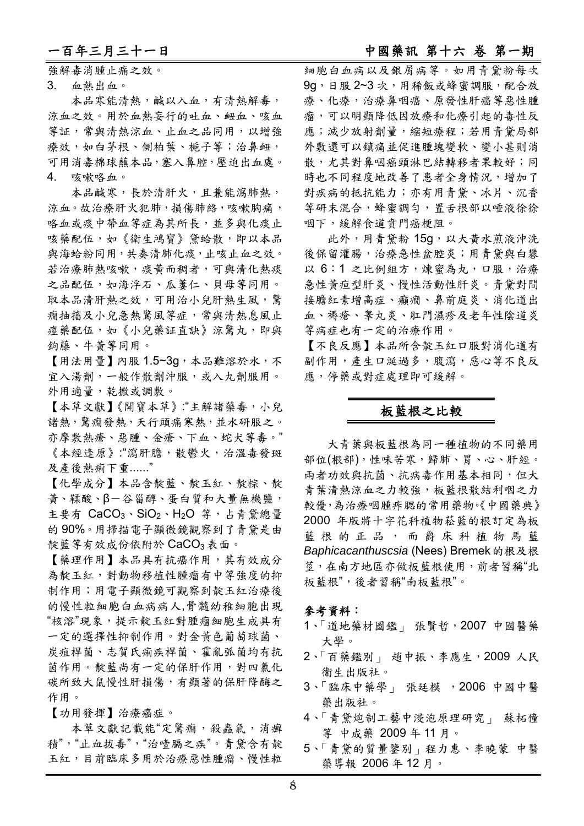# 一百年三月三十一日 中國藥訊 第十六 卷 第一期

強解毒消腫止痛之效。

3. 血熱出血。

本品寒能清熱,鹹以入血,有清熱解毒, 涼血之效。用於血熱妄行的吐血、衄血、咳血 等証,常與清熱涼血、止血之品同用,以增強 療效,如白茅根、側柏葉、梔子等;治鼻衄, 可用消毒棉球蘸本品,塞入鼻腔,壓迫出血處。 4. 咳嗽咯血。

本品鹹寒,長於清肝火,且兼能瀉肺熱, 涼血。故治療肝火犯肺,損傷肺絡,咳嗽胸痛, 咯血或痰中帶血等症為其所長,並多與化痰止 咳藥配伍,如《衛生鴻寶》黛蛤散,即以本品 與海蛤粉同用,共奏清肺化痰,止咳止血之效。 若治療肺熱咳嗽,痰黃而稠者,可與清化熱痰 之品配伍,如海浮石、瓜蔞仁、貝母等同用。 取本品清肝熱之效,可用治小兒肝熱生風,驚 癇抽搐及小兒急熱驚風等症,常與清熱息風止 痙藥配伍,如《小兒藥証直訣》涼驚丸,即與 鉤藤、牛黃等同用。

【用法用量】內服 1.5~3g,本品難溶於水,不 宜入湯劑,一般作散劑沖服,或入丸劑服用。 外用適量,乾撒或調敷。

【本草文獻】《開寶本草》:"主解諸藥毒,小兒 諸熱,驚癇發熱,天行頭痛寒熱,並水研服之。 亦摩敷熱瘡、惡腫、金瘡、下血、蛇犬等毒。" 《本經逢原》:"瀉肝膽,散鬱火,治溫毒發斑 及產後熱痢下重......"

【化學成分】本品含靛藍、靛玉紅、靛棕、靛 黃、鞣酸、β-谷甾醇、蛋白質和大量無機鹽, 主要有  $CaCO<sub>3</sub> \cdot SiO<sub>2</sub> \cdot H<sub>2</sub>O$  等, 占青黛總量 的 90%。用掃描電子顯微鏡觀察到了青黛是由 靛藍等有效成份依附於 CaCO3 表面。

【藥理作用】本品具有抗癌作用,其有效成分 為靛玉紅,對動物移植性腫瘤有中等強度的抑 制作用;用電子顯微鏡可觀察到靛玉紅治療後 的慢性粒細胞白血病病人,骨髓幼稚細胞出現 "核溶"現象,提示靛玉紅對腫瘤細胞生成具有 一定的選擇性抑制作用。對金黃色葡萄球菌、 炭疽桿菌、志賀氏痢疾桿菌、霍亂弧菌均有抗 茵作用。靛藍尚有一定的保肝作用,對四氯化 碳所致大鼠慢性肝損傷,有顯著的保肝降酶之 作用。

【功用發揮】治療癌症。

本草文獻記載能"定驚癇,殺蟲氣,消癬 積","止血拔毒","治噎膈之疾"。青黛含有靛 玉紅,目前臨床多用於治療惡性腫瘤、慢性粒 細胞白血病以及銀屑病等。如用青黛粉每次 9g,日服 2~3 次,用稀飯或蜂蜜調服,配合放 療、化療,治療鼻咽癌、原發性肝癌等惡性腫 瘤,可以明顯降低因放療和化療引起的毒性反 應;減少放射劑量,縮短療程;若用青黛局部 外敷還可以鎮痛並促進腫塊變軟、變小甚則消 散,尤其對鼻咽癌頸淋巴結轉移者果較好;同 時也不同程度地改善了患者全身情況,增加了 對疾病的抵抗能力;亦有用青黛、冰片、沉香 等研末混合,蜂蜜調勻,置舌根部以唾液徐徐 咽下,緩解食道賁門癌梗阻。

此外,用青黛粉 15g,以大黃水煎液沖洗 後保留灌腸,治療急性盆腔炎;用青黛與白礬 以 6:1 之比例組方,煉蜜為丸,口服,治療 急性黃疸型肝炎、慢性活動性肝炎。青黛對間 接膽紅素增高症、癲癇、鼻前庭炎、消化道出 血、褥瘡、睾丸炎、肛門濕疹及老年性陰道炎 等病症也有一定的治療作用。

【不良反應】本品所含靛玉紅口服對消化道有 副作用,產生口涎過多,腹瀉,惡心等不良反 應,停藥或對症處理即可緩解。

## 板藍根之比較

大青葉與板藍根為同一種植物的不同藥用 部位(根部),性味苦寒,歸肺、胃、心、肝經。 兩者功效與抗菌、抗病毒作用基本相同,但大 青葉清熱涼血之力較強,板藍根散結利咽之力 較優,為治療咽腫痄腮的常用藥物。《中國藥典》 2000 年版將十字花科植物菘藍的根訂定為板 藍根的正品,而爵床科植物馬藍 **Baphicacanthuscsia (Nees) Bremek** 的根及根 莖,在南方地區亦做板藍根使用,前者習稱"北 板藍根",後者習稱"南板藍根"。

### 參考資料:

- 1、「道地藥材圖鑑」 張賢哲,2007 中國醫藥 大學。
- 2、「百藥鑑別」 趙中振、李應生,2009 人民 衛生出版社。
- 3、「臨床中藥學」 張廷模 ,2006 中國中醫 藥出版社。
- 4、「青黛炮制工藝中浸泡原理研究」 蘇柘僮 等 中成藥 2009 年 11 月。
- 5、「青黛的質量鑒別」程力惠、李曉蒙 中醫 藥導報 2006 年 12 月。